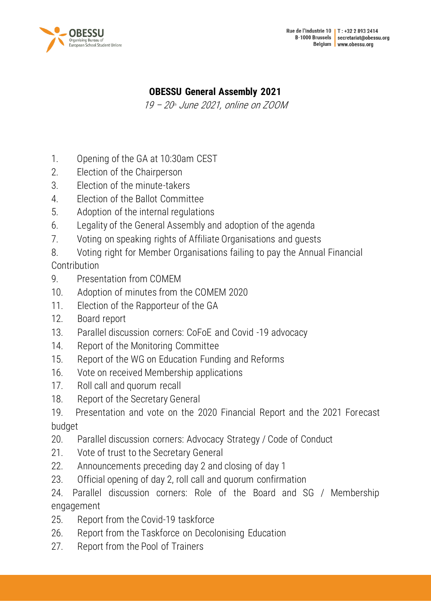

# **OBESSU General Assembly 2021**

19 – 20 th June 2021, online on ZOOM

- 1. [Opening of the GA at 10:30am CEST](#page-1-0)
- 2. [Election of the Chairperson](#page-1-1)
- 3. [Election of the minute-takers](#page-2-0)
- 4. [Election of the Ballot Committee](#page-2-1)
- 5. [Adoption of the internal regulations](#page-2-2)
- 6. [Legality of the General Assembly and adoption of the agenda](#page-4-0)
- 7. [Voting on speaking rights of Affiliate Organisations and guests](#page-5-0)
- 8. [Voting right for Member Organisations failing to pay the Annual Financial](#page-5-1)

**[Contribution](#page-5-1)** 

- 9. [Presentation from COMEM](#page-6-0)
- 10. [Adoption of minutes from the COMEM 2020](#page-7-0)
- 11. [Election of the Rapporteur of the GA](#page-7-1)
- 12. [Board report](#page-7-2)
- 13. [Parallel discussion corners: CoFoE and Covid -19 advocacy](#page-8-0)
- 14. [Report of the Monitoring Committee](#page-9-0)
- 15. [Report of the WG on Education Funding and Reforms](#page-9-1)
- 16. [Vote on received Membership applications](#page-10-0)
- 17. [Roll call and quorum recall](#page-13-0)
- 18. [Report of the Secretary General](#page-13-1)
- 19. [Presentation and vote on the 2020 Financial Report and the 2021 Forecast](#page-16-0)  [budget](#page-16-0)
- 20. [Parallel discussion corners: Advocacy Strategy / Code of Conduct](#page-18-0)
- 21. [Vote of trust to the Secretary General](#page-18-1)
- 22. [Announcements preceding day 2 and closing of day 1](#page-21-0)
- 23. [Official opening of day 2, roll call and quorum confirmation](#page-21-1)
- 24. [Parallel discussion corners: Role of the Board and SG / Membership](#page-22-0)  [engagement](#page-22-0)
- 25. [Report from the Covid-19 taskforce](#page-22-1)
- 26. [Report from the Taskforce on Decolonising Education](#page-24-0)
- 27. [Report from the Pool of Trainers](#page-24-1)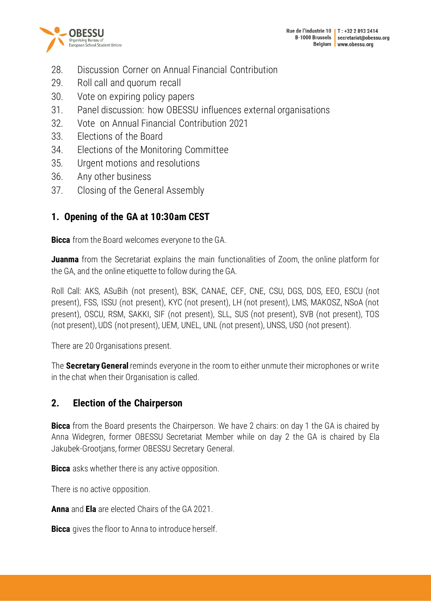



- 28. [Discussion Corner on Annual Financial Contribution](#page-25-0)
- 29. [Roll call and quorum recall](#page-26-0)
- 30. [Vote on expiring policy papers](#page-27-0)
- 31. [Panel discussion: how OBESSU influences external organisations](#page-28-0)
- 32. Vote on [Annual Financial Contribution 2021](#page-30-0)
- 33. [Elections of the Board](#page-31-0)
- 34. [Elections of the Monitoring Committee](#page-36-0)
- 35. [Urgent motions and resolutions](#page-37-0)
- 36. [Any other business](#page-37-1)
- 37. [Closing of the General Assembly](#page-38-0)

# <span id="page-1-0"></span>**1. Opening of the GA at 10:30am CEST**

**Bicca** from the Board welcomes everyone to the GA.

**Juanma** from the Secretariat explains the main functionalities of Zoom, the online platform for the GA, and the online etiquette to follow during the GA.

Roll Call: AKS, ASuBih (not present), BSK, CANAE, CEF, CNE, CSU, DGS, DOS, EEO, ESCU (not present), FSS, ISSU (not present), KYC (not present), LH (not present), LMS, MAKOSZ, NSoA (not present), OSCU, RSM, SAKKI, SIF (not present), SLL, SUS (not present), SVB (not present), TOS (not present), UDS (not present), UEM, UNEL, UNL (not present), UNSS, USO (not present).

There are 20 Organisations present.

The **Secretary General** reminds everyone in the room to either unmute their microphones or write in the chat when their Organisation is called.

# <span id="page-1-1"></span>**2. Election of the Chairperson**

**Bicca** from the Board presents the Chairperson. We have 2 chairs: on day 1 the GA is chaired by Anna Widegren, former OBESSU Secretariat Member while on day 2 the GA is chaired by Ela Jakubek-Grootjans, former OBESSU Secretary General.

**Bicca** asks whether there is any active opposition.

There is no active opposition.

**Anna** and **Ela** are elected Chairs of the GA 2021.

**Bicca** gives the floor to Anna to introduce herself.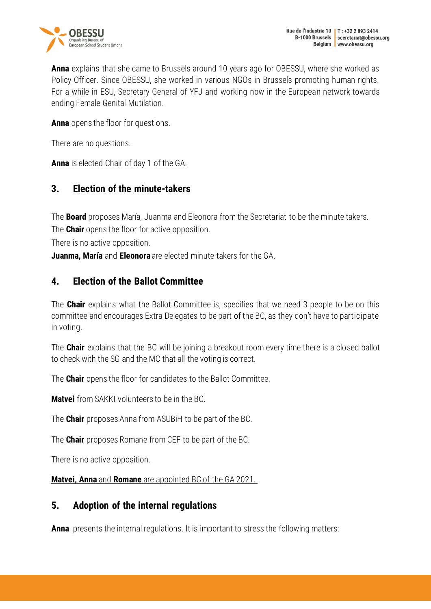

**Anna** explains that she came to Brussels around 10 years ago for OBESSU, where she worked as Policy Officer. Since OBESSU, she worked in various NGOs in Brussels promoting human rights. For a while in ESU, Secretary General of YFJ and working now in the European network towards ending Female Genital Mutilation.

**Anna** opens the floor for questions.

There are no questions.

**Anna** is elected Chair of day 1 of the GA.

## <span id="page-2-0"></span>**3. Election of the minute-takers**

The **Board** proposes María, Juanma and Eleonora from the Secretariat to be the minute takers.

The **Chair** opens the floor for active opposition.

There is no active opposition.

<span id="page-2-1"></span>**Juanma, María** and **Eleonora** are elected minute-takers for the GA.

### **4. Election of the Ballot Committee**

The **Chair** explains what the Ballot Committee is, specifies that we need 3 people to be on this committee and encourages Extra Delegates to be part of the BC, as they don't have to participate in voting.

The **Chair** explains that the BC will be joining a breakout room every time there is a closed ballot to check with the SG and the MC that all the voting is correct.

The **Chair** opens the floor for candidates to the Ballot Committee.

**Matvei** from SAKKI volunteers to be in the BC.

The **Chair** proposes Anna from ASUBiH to be part of the BC.

The **Chair** proposes Romane from CEF to be part of the BC.

There is no active opposition.

**Matvei, Anna** and **Romane** are appointed BC of the GA 2021.

### <span id="page-2-2"></span>**5. Adoption of the internal regulations**

**Anna** presents the internal regulations. It is important to stress the following matters: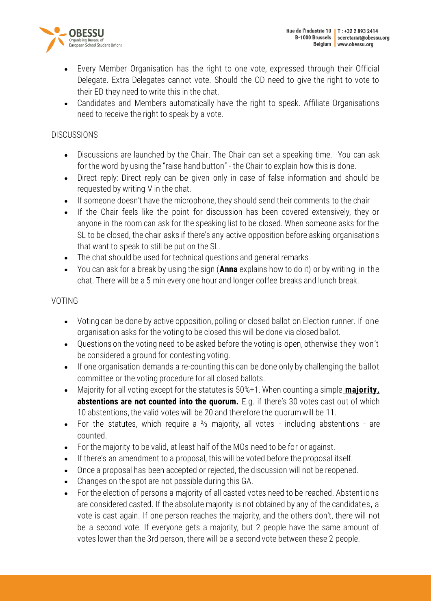

- Every Member Organisation has the right to one vote, expressed through their Official Delegate. Extra Delegates cannot vote. Should the OD need to give the right to vote to their ED they need to write this in the chat.
- Candidates and Members automatically have the right to speak. Affiliate Organisations need to receive the right to speak by a vote.

#### **DISCUSSIONS**

- Discussions are launched by the Chair. The Chair can set a speaking time. You can ask for the word by using the "raise hand button" - the Chair to explain how this is done.
- Direct reply: Direct reply can be given only in case of false information and should be requested by writing V in the chat.
- If someone doesn't have the microphone, they should send their comments to the chair
- If the Chair feels like the point for discussion has been covered extensively, they or anyone in the room can ask for the speaking list to be closed. When someone asks for the SL to be closed, the chair asks if there's any active opposition before asking organisations that want to speak to still be put on the SL.
- The chat should be used for technical questions and general remarks
- You can ask for a break by using the sign (**Anna** explains how to do it) or by writing in the chat. There will be a 5 min every one hour and longer coffee breaks and lunch break.

### VOTING

- Voting can be done by active opposition, polling or closed ballot on Election runner. If one organisation asks for the voting to be closed this will be done via closed ballot.
- Questions on the voting need to be asked before the voting is open, otherwise they won't be considered a ground for contesting voting.
- If one organisation demands a re-counting this can be done only by challenging the ballot committee or the voting procedure for all closed ballots.
- Majority for all voting except for the statutes is 50%+1. When counting a simple **majority**. **abstentions are not counted into the quorum.** E.g. if there's 30 votes cast out of which 10 abstentions, the valid votes will be 20 and therefore the quorum will be 11.
- For the statutes, which require a ⅔ majority, all votes including abstentions are counted.
- For the majority to be valid, at least half of the MOs need to be for or against.
- If there's an amendment to a proposal, this will be voted before the proposal itself.
- Once a proposal has been accepted or rejected, the discussion will not be reopened.
- Changes on the spot are not possible during this GA.
- For the election of persons a majority of all casted votes need to be reached. Abstentions are considered casted. If the absolute majority is not obtained by any of the candidates, a vote is cast again. If one person reaches the majority, and the others don't, there will not be a second vote. If everyone gets a majority, but 2 people have the same amount of votes lower than the 3rd person, there will be a second vote between these 2 people.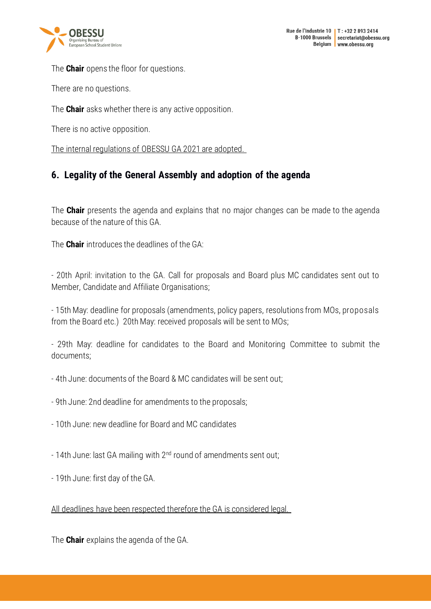

The **Chair** opens the floor for questions.

There are no questions.

The **Chair** asks whether there is any active opposition.

There is no active opposition.

The internal regulations of OBESSU GA 2021 are adopted.

# <span id="page-4-0"></span>**6. Legality of the General Assembly and adoption of the agenda**

The **Chair** presents the agenda and explains that no major changes can be made to the agenda because of the nature of this GA.

The **Chair** introduces the deadlines of the GA:

- 20th April: invitation to the GA. Call for proposals and Board plus MC candidates sent out to Member, Candidate and Affiliate Organisations;

- 15th May: deadline for proposals (amendments, policy papers, resolutions from MOs, proposals from the Board etc.) 20th May: received proposals will be sent to MOs;

- 29th May: deadline for candidates to the Board and Monitoring Committee to submit the documents;

- 4th June: documents of the Board & MC candidates will be sent out;
- 9th June: 2nd deadline for amendments to the proposals;
- 10th June: new deadline for Board and MC candidates
- 14th June: last GA mailing with  $2^{nd}$  round of amendments sent out;
- 19th June: first day of the GA.

All deadlines have been respected therefore the GA is considered legal.

The **Chair** explains the agenda of the GA.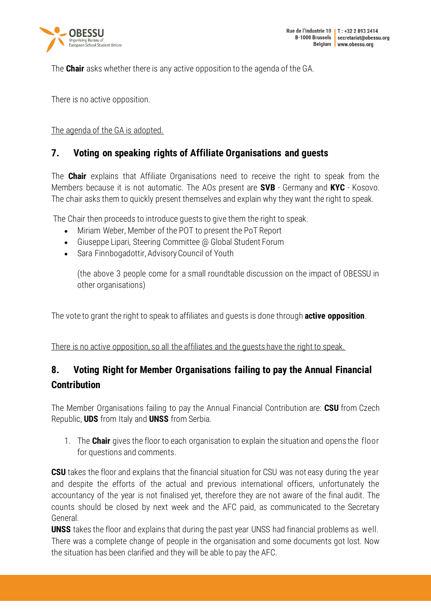

The **Chair** asks whether there is any active opposition to the agenda of the GA.

There is no active opposition.

#### <span id="page-5-0"></span>The agenda of the GA is adopted.

## **7. Voting on speaking rights of Affiliate Organisations and guests**

The **Chair** explains that Affiliate Organisations need to receive the right to speak from the Members because it is not automatic. The AOs present are **SVB** - Germany and **KYC** - Kosovo. The chair asks them to quickly present themselves and explain why they want the right to speak.

The Chair then proceeds to introduce guests to give them the right to speak.

- Miriam Weber, Member of the POT to present the PoT Report
- Giuseppe Lipari, Steering Committee @ Global Student Forum
- Sara Finnbogadottir, Advisory Council of Youth

(the above 3 people come for a small roundtable discussion on the impact of OBESSU in other organisations)

The vote to grant the right to speak to affiliates and guests is done through **active opposition**.

<span id="page-5-1"></span>There is no active opposition, so all the affiliates and the guests have the right to speak.

# **8. Voting Right for Member Organisations failing to pay the Annual Financial Contribution**

The Member Organisations failing to pay the Annual Financial Contribution are: **CSU** from Czech Republic, **UDS** from Italy and **UNSS** from Serbia.

1. The **Chair** gives the floor to each organisation to explain the situation and opens the floor for questions and comments.

**CSU** takes the floor and explains that the financial situation for CSU was not easy during the year and despite the efforts of the actual and previous international officers, unfortunately the accountancy of the year is not finalised yet, therefore they are not aware of the final audit. The counts should be closed by next week and the AFC paid, as communicated to the Secretary General.

**UNSS** takes the floor and explains that during the past year UNSS had financial problems as well. There was a complete change of people in the organisation and some documents got lost. Now the situation has been clarified and they will be able to pay the AFC.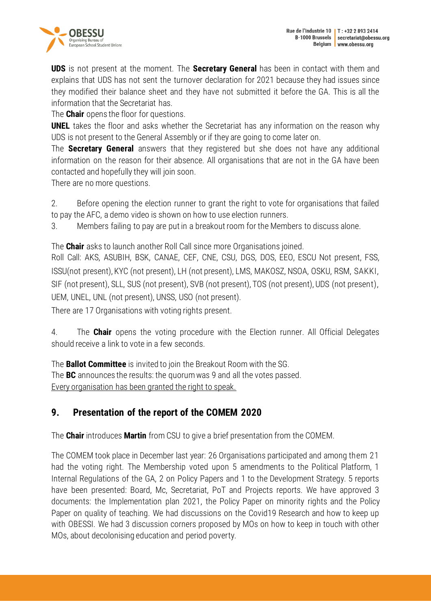

**UDS** is not present at the moment. The **Secretary General** has been in contact with them and explains that UDS has not sent the turnover declaration for 2021 because they had issues since they modified their balance sheet and they have not submitted it before the GA. This is all the information that the Secretariat has.

The **Chair** opens the floor for questions.

**UNEL** takes the floor and asks whether the Secretariat has any information on the reason why UDS is not present to the General Assembly or if they are going to come later on.

The **Secretary General** answers that they registered but she does not have any additional information on the reason for their absence. All organisations that are not in the GA have been contacted and hopefully they will join soon.

There are no more questions.

2. Before opening the election runner to grant the right to vote for organisations that failed to pay the AFC, a demo video is shown on how to use election runners.

3. Members failing to pay are put in a breakout room for the Members to discuss alone.

The **Chair** asks to launch another Roll Call since more Organisations joined.

Roll Call: AKS, ASUBIH, BSK, CANAE, CEF, CNE, CSU, DGS, DOS, EEO, ESCU Not present, FSS, ISSU(not present), KYC (not present), LH (not present), LMS, MAKOSZ, NSOA, OSKU, RSM, SAKKI, SIF (not present), SLL, SUS (not present), SVB (not present), TOS (not present), UDS (not present), UEM, UNEL, UNL (not present), UNSS, USO (not present).

There are 17 Organisations with voting rights present.

4. The **Chair** opens the voting procedure with the Election runner. All Official Delegates should receive a link to vote in a few seconds.

The **Ballot Committee** is invited to join the Breakout Room with the SG. The **BC** announces the results: the quorum was 9 and all the votes passed. Every organisation has been granted the right to speak.

# <span id="page-6-0"></span>**9. Presentation of the report of the COMEM 2020**

The **Chair** introduces **Martin** from CSU to give a brief presentation from the COMEM.

The COMEM took place in December last year: 26 Organisations participated and among them 21 had the voting right. The Membership voted upon 5 amendments to the Political Platform, 1 Internal Regulations of the GA, 2 on Policy Papers and 1 to the Development Strategy. 5 reports have been presented: Board, Mc, Secretariat, PoT and Projects reports. We have approved 3 documents: the Implementation plan 2021, the Policy Paper on minority rights and the Policy Paper on quality of teaching. We had discussions on the Covid19 Research and how to keep up with OBESSI. We had 3 discussion corners proposed by MOs on how to keep in touch with other MOs, about decolonising education and period poverty.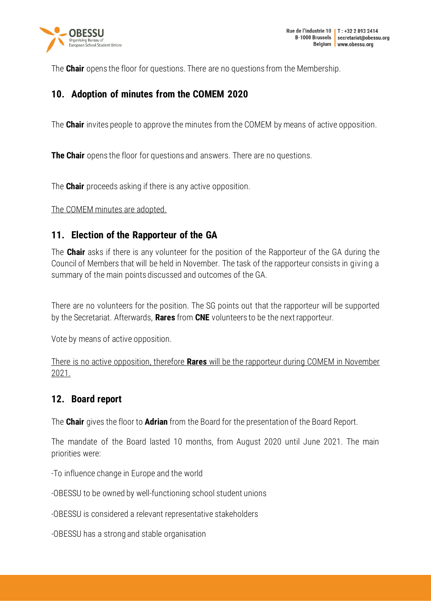

The **Chair** opens the floor for questions. There are no questions from the Membership.

## <span id="page-7-0"></span>**10. Adoption of minutes from the COMEM 2020**

The **Chair** invites people to approve the minutes from the COMEM by means of active opposition.

**The Chair** opens the floor for questions and answers. There are no questions.

The **Chair** proceeds asking if there is any active opposition.

<span id="page-7-1"></span>The COMEM minutes are adopted.

## **11. Election of the Rapporteur of the GA**

The **Chair** asks if there is any volunteer for the position of the Rapporteur of the GA during the Council of Members that will be held in November. The task of the rapporteur consists in giving a summary of the main points discussed and outcomes of the GA.

There are no volunteers for the position. The SG points out that the rapporteur will be supported by the Secretariat. Afterwards, **Rares** from **CNE** volunteers to be the next rapporteur.

Vote by means of active opposition.

There is no active opposition, therefore **Rares** will be the rapporteur during COMEM in November 2021.

### <span id="page-7-2"></span>**12. Board report**

The **Chair** gives the floor to **Adrian** from the Board for the presentation of the Board Report.

The mandate of the Board lasted 10 months, from August 2020 until June 2021. The main priorities were:

-To influence change in Europe and the world

-OBESSU to be owned by well-functioning school student unions

-OBESSU is considered a relevant representative stakeholders

-OBESSU has a strong and stable organisation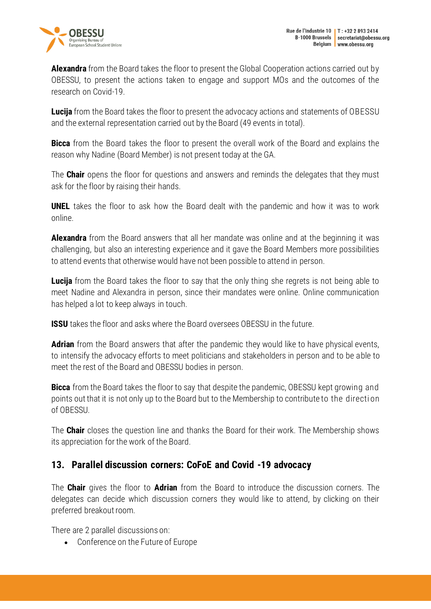

**Alexandra** from the Board takes the floor to present the Global Cooperation actions carried out by OBESSU, to present the actions taken to engage and support MOs and the outcomes of the research on Covid-19.

**Lucija** from the Board takes the floor to present the advocacy actions and statements of OBESSU and the external representation carried out by the Board (49 events in total).

**Bicca** from the Board takes the floor to present the overall work of the Board and explains the reason why Nadine (Board Member) is not present today at the GA.

The **Chair** opens the floor for questions and answers and reminds the delegates that they must ask for the floor by raising their hands.

**UNEL** takes the floor to ask how the Board dealt with the pandemic and how it was to work online.

**Alexandra** from the Board answers that all her mandate was online and at the beginning it was challenging, but also an interesting experience and it gave the Board Members more possibilities to attend events that otherwise would have not been possible to attend in person.

**Lucija** from the Board takes the floor to say that the only thing she regrets is not being able to meet Nadine and Alexandra in person, since their mandates were online. Online communication has helped a lot to keep always in touch.

**ISSU** takes the floor and asks where the Board oversees OBESSU in the future.

**Adrian** from the Board answers that after the pandemic they would like to have physical events, to intensify the advocacy efforts to meet politicians and stakeholders in person and to be able to meet the rest of the Board and OBESSU bodies in person.

**Bicca** from the Board takes the floor to say that despite the pandemic, OBESSU kept growing and points out that it is not only up to the Board but to the Membership to contribute to the directi on of OBESSU.

The **Chair** closes the question line and thanks the Board for their work. The Membership shows its appreciation for the work of the Board.

### <span id="page-8-0"></span>**13. Parallel discussion corners: CoFoE and Covid -19 advocacy**

The **Chair** gives the floor to **Adrian** from the Board to introduce the discussion corners. The delegates can decide which discussion corners they would like to attend, by clicking on their preferred breakout room.

There are 2 parallel discussions on:

• Conference on the Future of Europe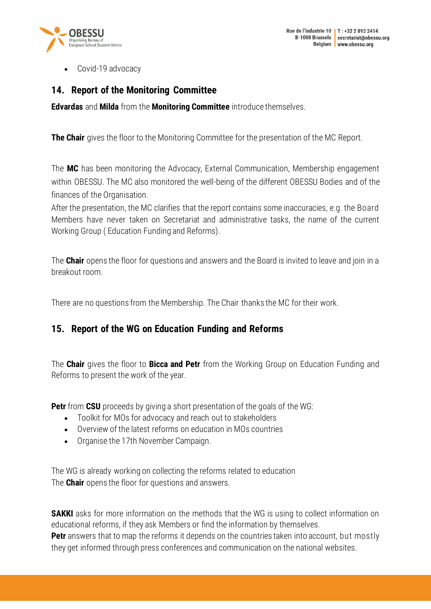

• Covid-19 advocacy

### <span id="page-9-0"></span>**14. Report of the Monitoring Committee**

**Edvardas** and **Milda** from the **Monitoring Committee** introduce themselves.

**The Chair** gives the floor to the Monitoring Committee for the presentation of the MC Report.

The **MC** has been monitoring the Advocacy, External Communication, Membership engagement within OBESSU. The MC also monitored the well-being of the different OBESSU Bodies and of the finances of the Organisation.

After the presentation, the MC clarifies that the report contains some inaccuracies, e.g. the Board Members have never taken on Secretariat and administrative tasks, the name of the current Working Group ( Education Funding and Reforms).

The **Chair** opens the floor for questions and answers and the Board is invited to leave and join in a breakout room.

<span id="page-9-1"></span>There are no questions from the Membership. The Chair thanks the MC for their work.

### **15. Report of the WG on Education Funding and Reforms**

The **Chair** gives the floor to **Bicca and Petr** from the Working Group on Education Funding and Reforms to present the work of the year.

**Petr** from **CSU** proceeds by giving a short presentation of the goals of the WG:

- Toolkit for MOs for advocacy and reach out to stakeholders
- Overview of the latest reforms on education in MOs countries
- Organise the 17th November Campaign.

The WG is already working on collecting the reforms related to education The **Chair** opens the floor for questions and answers.

**SAKKI** asks for more information on the methods that the WG is using to collect information on educational reforms, if they ask Members or find the information by themselves. **Petr** answers that to map the reforms it depends on the countries taken into account, but mostly they get informed through press conferences and communication on the national websites.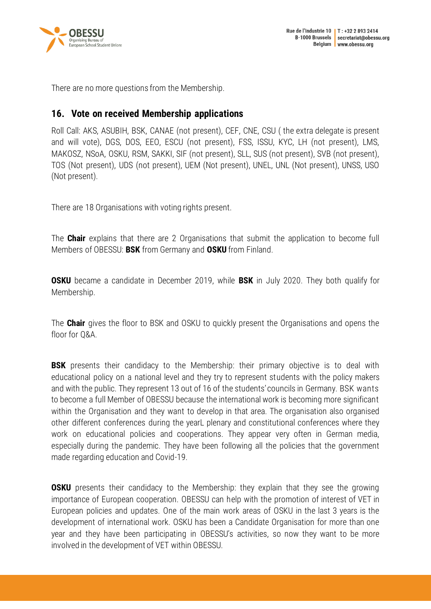

<span id="page-10-0"></span>There are no more questions from the Membership.

### **16. Vote on received Membership applications**

Roll Call: AKS, ASUBIH, BSK, CANAE (not present), CEF, CNE, CSU ( the extra delegate is present and will vote), DGS, DOS, EEO, ESCU (not present), FSS, ISSU, KYC, LH (not present), LMS, MAKOSZ, NSoA, OSKU, RSM, SAKKI, SIF (not present), SLL, SUS (not present), SVB (not present), TOS (Not present), UDS (not present), UEM (Not present), UNEL, UNL (Not present), UNSS, USO (Not present).

There are 18 Organisations with voting rights present.

The **Chair** explains that there are 2 Organisations that submit the application to become full Members of OBESSU: **BSK** from Germany and **OSKU** from Finland.

**OSKU** became a candidate in December 2019, while **BSK** in July 2020. They both qualify for Membership.

The **Chair** gives the floor to BSK and OSKU to quickly present the Organisations and opens the floor for Q&A.

**BSK** presents their candidacy to the Membership: their primary objective is to deal with educational policy on a national level and they try to represent students with the policy makers and with the public. They represent 13 out of 16 of the students' councils in Germany. BSK wants to become a full Member of OBESSU because the international work is becoming more significant within the Organisation and they want to develop in that area. The organisation also organised other different conferences during the yearL plenary and constitutional conferences where they work on educational policies and cooperations. They appear very often in German media, especially during the pandemic. They have been following all the policies that the government made regarding education and Covid-19.

**OSKU** presents their candidacy to the Membership: they explain that they see the growing importance of European cooperation. OBESSU can help with the promotion of interest of VET in European policies and updates. One of the main work areas of OSKU in the last 3 years is the development of international work. OSKU has been a Candidate Organisation for more than one year and they have been participating in OBESSU's activities, so now they want to be more involved in the development of VET within OBESSU.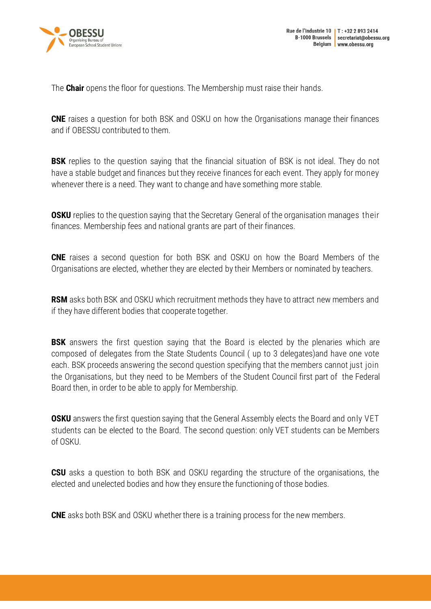

The **Chair** opens the floor for questions. The Membership must raise their hands.

**CNE** raises a question for both BSK and OSKU on how the Organisations manage their finances and if OBESSU contributed to them.

**BSK** replies to the question saying that the financial situation of BSK is not ideal. They do not have a stable budget and finances but they receive finances for each event. They apply for money whenever there is a need. They want to change and have something more stable.

**OSKU** replies to the question saying that the Secretary General of the organisation manages their finances. Membership fees and national grants are part of their finances.

**CNE** raises a second question for both BSK and OSKU on how the Board Members of the Organisations are elected, whether they are elected by their Members or nominated by teachers.

**RSM** asks both BSK and OSKU which recruitment methods they have to attract new members and if they have different bodies that cooperate together.

**BSK** answers the first question saying that the Board is elected by the plenaries which are composed of delegates from the State Students Council ( up to 3 delegates)and have one vote each. BSK proceeds answering the second question specifying that the members cannot just join the Organisations, but they need to be Members of the Student Council first part of the Federal Board then, in order to be able to apply for Membership.

**OSKU** answers the first question saying that the General Assembly elects the Board and only VET students can be elected to the Board. The second question: only VET students can be Members of OSKU.

**CSU** asks a question to both BSK and OSKU regarding the structure of the organisations, the elected and unelected bodies and how they ensure the functioning of those bodies.

**CNE** asks both BSK and OSKU whether there is a training process for the new members.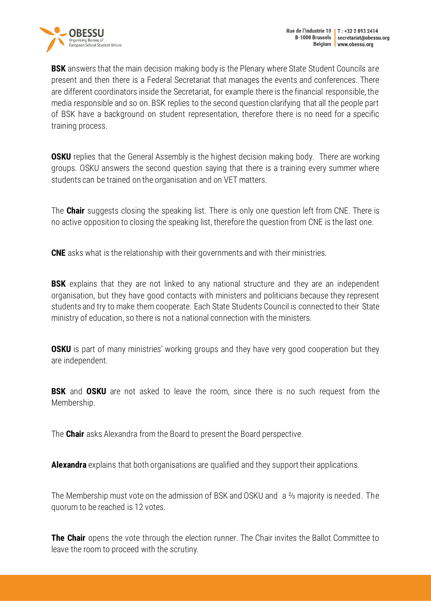



**BSK** answers that the main decision making body is the Plenary where State Student Councils are present and then there is a Federal Secretariat that manages the events and conferences. There are different coordinators inside the Secretariat, for example there is the financial responsible, the media responsible and so on. BSK replies to the second question clarifying that all the people part of BSK have a background on student representation, therefore there is no need for a specific training process.

**OSKU** replies that the General Assembly is the highest decision making body. There are working groups. OSKU answers the second question saying that there is a training every summer where students can be trained on the organisation and on VET matters.

The **Chair** suggests closing the speaking list. There is only one question left from CNE. There is no active opposition to closing the speaking list, therefore the question from CNE is the last one.

**CNE** asks what is the relationship with their governments and with their ministries.

**BSK** explains that they are not linked to any national structure and they are an independent organisation, but they have good contacts with ministers and politicians because they represent students and try to make them cooperate. Each State Students Council is connected to their State ministry of education, so there is not a national connection with the ministers.

**OSKU** is part of many ministries' working groups and they have very good cooperation but they are independent.

**BSK** and **OSKU** are not asked to leave the room, since there is no such request from the Membership.

The **Chair** asks Alexandra from the Board to present the Board perspective.

**Alexandra** explains that both organisations are qualified and they support their applications.

The Membership must vote on the admission of BSK and OSKU and a ⅔ majority is needed. The quorum to be reached is 12 votes.

**The Chair** opens the vote through the election runner. The Chair invites the Ballot Committee to leave the room to proceed with the scrutiny.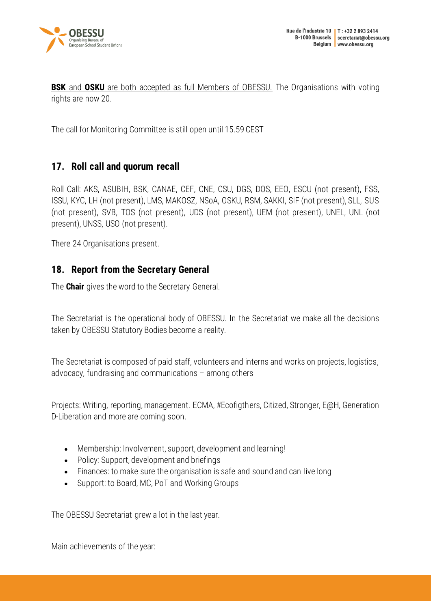

**BSK** and **OSKU** are both accepted as full Members of OBESSU. The Organisations with voting rights are now 20.

The call for Monitoring Committee is still open until 15.59 CEST

### <span id="page-13-0"></span>**17. Roll call and quorum recall**

Roll Call: AKS, ASUBIH, BSK, CANAE, CEF, CNE, CSU, DGS, DOS, EEO, ESCU (not present), FSS, ISSU, KYC, LH (not present), LMS, MAKOSZ, NSoA, OSKU, RSM, SAKKI, SIF (not present), SLL, SUS (not present), SVB, TOS (not present), UDS (not present), UEM (not present), UNEL, UNL (not present), UNSS, USO (not present).

There 24 Organisations present.

### <span id="page-13-1"></span>**18. Report from the Secretary General**

The **Chair** gives the word to the Secretary General.

The Secretariat is the operational body of OBESSU. In the Secretariat we make all the decisions taken by OBESSU Statutory Bodies become a reality.

The Secretariat is composed of paid staff, volunteers and interns and works on projects, logistics, advocacy, fundraising and communications – among others

Projects: Writing, reporting, management. ECMA, #Ecofigthers, Citized, Stronger, E@H, Generation D-Liberation and more are coming soon.

- Membership: Involvement, support, development and learning!
- Policy: Support, development and briefings
- Finances: to make sure the organisation is safe and sound and can live long
- Support: to Board, MC, PoT and Working Groups

The OBESSU Secretariat grew a lot in the last year.

Main achievements of the year: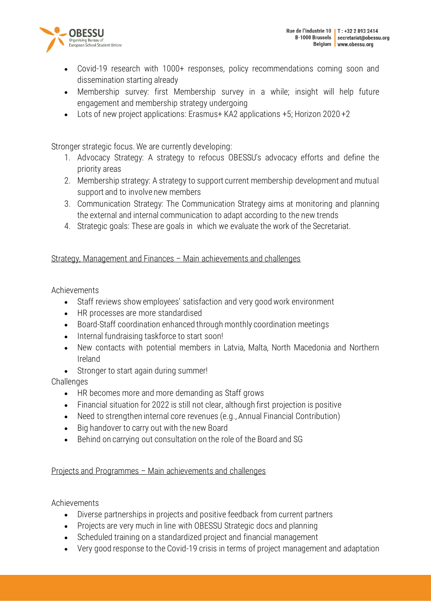



- Covid-19 research with 1000+ responses, policy recommendations coming soon and dissemination starting already
- Membership survey: first Membership survey in a while; insight will help future engagement and membership strategy undergoing
- Lots of new project applications: Erasmus+ KA2 applications +5; Horizon 2020 +2

Stronger strategic focus. We are currently developing:

- 1. Advocacy Strategy: A strategy to refocus OBESSU's advocacy efforts and define the priority areas
- 2. Membership strategy: A strategy to support current membership development and mutual support and to involve new members
- 3. Communication Strategy: The Communication Strategy aims at monitoring and planning the external and internal communication to adapt according to the new trends
- 4. Strategic goals: These are goals in which we evaluate the work of the Secretariat.

#### Strategy, Management and Finances – Main achievements and challenges

Achievements

- Staff reviews show employees' satisfaction and very good work environment
- HR processes are more standardised
- Board-Staff coordination enhanced through monthly coordination meetings
- Internal fundraising taskforce to start soon!
- New contacts with potential members in Latvia, Malta, North Macedonia and Northern Ireland
- Stronger to start again during summer!

**Challenges** 

- HR becomes more and more demanding as Staff grows
- Financial situation for 2022 is still not clear, although first projection is positive
- Need to strengthen internal core revenues (e.g., Annual Financial Contribution)
- Big handover to carry out with the new Board
- Behind on carrying out consultation on the role of the Board and SG

#### Projects and Programmes – Main achievements and challenges

#### Achievements

- Diverse partnerships in projects and positive feedback from current partners
- Projects are very much in line with OBESSU Strategic docs and planning
- Scheduled training on a standardized project and financial management
- Very good response to the Covid-19 crisis in terms of project management and adaptation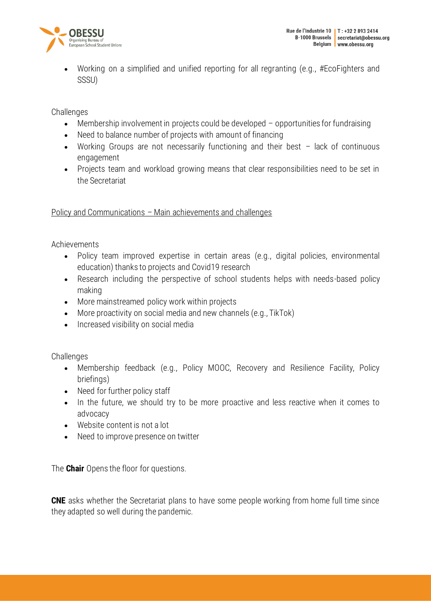

• Working on a simplified and unified reporting for all regranting (e.g., #EcoFighters and SSSU)

**Challenges** 

- Membership involvement in projects could be developed opportunities for fundraising
- Need to balance number of projects with amount of financing
- Working Groups are not necessarily functioning and their best lack of continuous engagement
- Projects team and workload growing means that clear responsibilities need to be set in the Secretariat

Policy and Communications – Main achievements and challenges

Achievements

- Policy team improved expertise in certain areas (e.g., digital policies, environmental education) thanks to projects and Covid19 research
- Research including the perspective of school students helps with needs-based policy making
- More mainstreamed policy work within projects
- More proactivity on social media and new channels (e.g., TikTok)
- Increased visibility on social media

**Challenges** 

- Membership feedback (e.g., Policy MOOC, Recovery and Resilience Facility, Policy briefings)
- Need for further policy staff
- In the future, we should try to be more proactive and less reactive when it comes to advocacy
- Website content is not a lot
- Need to improve presence on twitter

The **Chair** Opens the floor for questions.

**CNE** asks whether the Secretariat plans to have some people working from home full time since they adapted so well during the pandemic.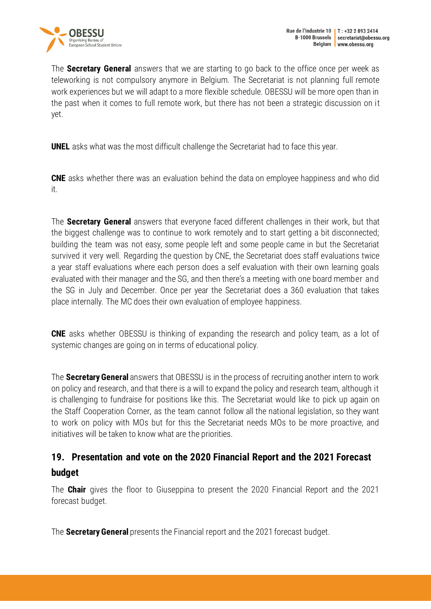

The **Secretary General** answers that we are starting to go back to the office once per week as teleworking is not compulsory anymore in Belgium. The Secretariat is not planning full remote work experiences but we will adapt to a more flexible schedule. OBESSU will be more open than in the past when it comes to full remote work, but there has not been a strategic discussion on it yet.

**UNEL** asks what was the most difficult challenge the Secretariat had to face this year.

**CNE** asks whether there was an evaluation behind the data on employee happiness and who did it.

The **Secretary General** answers that everyone faced different challenges in their work, but that the biggest challenge was to continue to work remotely and to start getting a bit disconnected; building the team was not easy, some people left and some people came in but the Secretariat survived it very well. Regarding the question by CNE, the Secretariat does staff evaluations twice a year staff evaluations where each person does a self evaluation with their own learning goals evaluated with their manager and the SG, and then there's a meeting with one board member and the SG in July and December. Once per year the Secretariat does a 360 evaluation that takes place internally. The MC does their own evaluation of employee happiness.

**CNE** asks whether OBESSU is thinking of expanding the research and policy team, as a lot of systemic changes are going on in terms of educational policy.

The **Secretary General** answers that OBESSU is in the process of recruiting another intern to work on policy and research, and that there is a will to expand the policy and research team, although it is challenging to fundraise for positions like this. The Secretariat would like to pick up again on the Staff Cooperation Corner, as the team cannot follow all the national legislation, so they want to work on policy with MOs but for this the Secretariat needs MOs to be more proactive, and initiatives will be taken to know what are the priorities.

# <span id="page-16-0"></span>**19. Presentation and vote on the 2020 Financial Report and the 2021 Forecast budget**

The **Chair** gives the floor to Giuseppina to present the 2020 Financial Report and the 2021 forecast budget.

The **Secretary General** presents the Financial report and the 2021 forecast budget.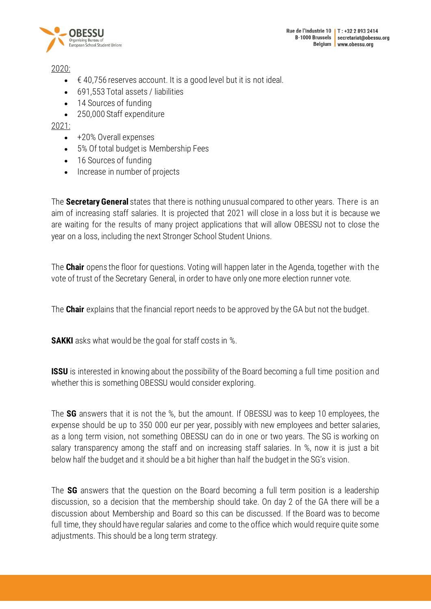



2020:

- $\bullet\quad$   $\in$  40,756 reserves account. It is a good level but it is not ideal.
- 691,553 Total assets / liabilities
- 14 Sources of funding
- 250,000 Staff expenditure

#### 2021:

- +20% Overall expenses
- 5% Of total budget is Membership Fees
- 16 Sources of funding
- Increase in number of projects

The **Secretary General** states that there is nothing unusual compared to other years. There is an aim of increasing staff salaries. It is projected that 2021 will close in a loss but it is because we are waiting for the results of many project applications that will allow OBESSU not to close the year on a loss, including the next Stronger School Student Unions.

The **Chair** opens the floor for questions. Voting will happen later in the Agenda, together with the vote of trust of the Secretary General, in order to have only one more election runner vote.

The **Chair** explains that the financial report needs to be approved by the GA but not the budget.

**SAKKI** asks what would be the goal for staff costs in %.

**ISSU** is interested in knowing about the possibility of the Board becoming a full time position and whether this is something OBESSU would consider exploring.

The **SG** answers that it is not the %, but the amount. If OBESSU was to keep 10 employees, the expense should be up to 350 000 eur per year, possibly with new employees and better salaries, as a long term vision, not something OBESSU can do in one or two years. The SG is working on salary transparency among the staff and on increasing staff salaries. In %, now it is just a bit below half the budget and it should be a bit higher than half the budget in the SG's vision.

The **SG** answers that the question on the Board becoming a full term position is a leadership discussion, so a decision that the membership should take. On day 2 of the GA there will be a discussion about Membership and Board so this can be discussed. If the Board was to become full time, they should have regular salaries and come to the office which would require quite some adjustments. This should be a long term strategy.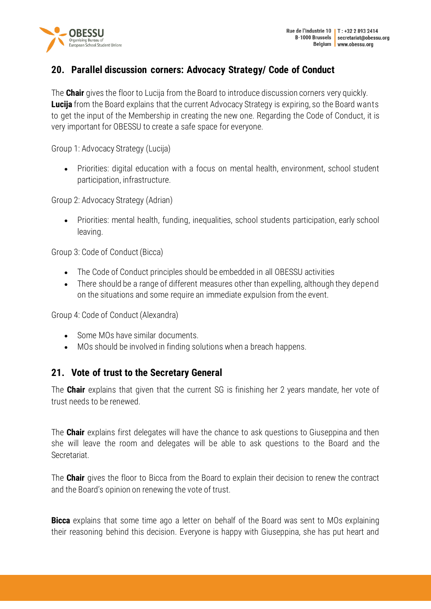

# <span id="page-18-0"></span>**20. Parallel discussion corners: Advocacy Strategy/ Code of Conduct**

The **Chair** gives the floor to Lucija from the Board to introduce discussion corners very quickly. **Lucija** from the Board explains that the current Advocacy Strategy is expiring, so the Board wants to get the input of the Membership in creating the new one. Regarding the Code of Conduct, it is very important for OBESSU to create a safe space for everyone.

Group 1: Advocacy Strategy (Lucija)

• Priorities: digital education with a focus on mental health, environment, school student participation, infrastructure.

Group 2: Advocacy Strategy (Adrian)

• Priorities: mental health, funding, inequalities, school students participation, early school leaving.

Group 3: Code of Conduct (Bicca)

- The Code of Conduct principles should be embedded in all OBESSU activities
- There should be a range of different measures other than expelling, although they depend on the situations and some require an immediate expulsion from the event.

Group 4: Code of Conduct (Alexandra)

- Some MOs have similar documents.
- MOs should be involved in finding solutions when a breach happens.

### <span id="page-18-1"></span>**21. Vote of trust to the Secretary General**

The **Chair** explains that given that the current SG is finishing her 2 years mandate, her vote of trust needs to be renewed.

The **Chair** explains first delegates will have the chance to ask questions to Giuseppina and then she will leave the room and delegates will be able to ask questions to the Board and the Secretariat.

The **Chair** gives the floor to Bicca from the Board to explain their decision to renew the contract and the Board's opinion on renewing the vote of trust.

**Bicca** explains that some time ago a letter on behalf of the Board was sent to MOs explaining their reasoning behind this decision. Everyone is happy with Giuseppina, she has put heart and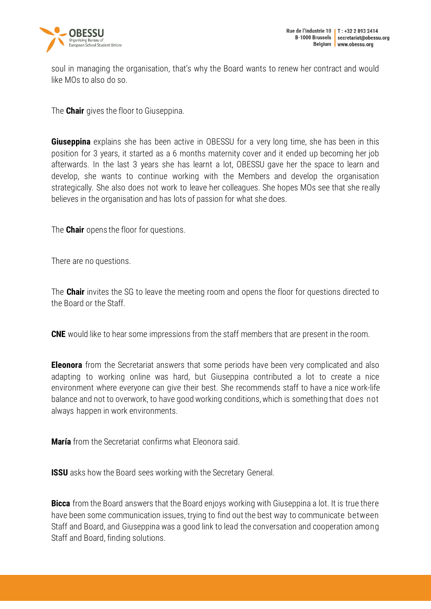

soul in managing the organisation, that's why the Board wants to renew her contract and would like MOs to also do so.

The **Chair** gives the floor to Giuseppina.

**Giuseppina** explains she has been active in OBESSU for a very long time, she has been in this position for 3 years, it started as a 6 months maternity cover and it ended up becoming her job afterwards. In the last 3 years she has learnt a lot, OBESSU gave her the space to learn and develop, she wants to continue working with the Members and develop the organisation strategically. She also does not work to leave her colleagues. She hopes MOs see that she really believes in the organisation and has lots of passion for what she does.

The **Chair** opens the floor for questions.

There are no questions.

The **Chair** invites the SG to leave the meeting room and opens the floor for questions directed to the Board or the Staff.

**CNE** would like to hear some impressions from the staff members that are present in the room.

**Eleonora** from the Secretariat answers that some periods have been very complicated and also adapting to working online was hard, but Giuseppina contributed a lot to create a nice environment where everyone can give their best. She recommends staff to have a nice work-life balance and not to overwork, to have good working conditions, which is something that does not always happen in work environments.

**María** from the Secretariat confirms what Eleonora said.

**ISSU** asks how the Board sees working with the Secretary General.

**Bicca** from the Board answers that the Board enjoys working with Giuseppina a lot. It is true there have been some communication issues, trying to find out the best way to communicate between Staff and Board, and Giuseppina was a good link to lead the conversation and cooperation among Staff and Board, finding solutions.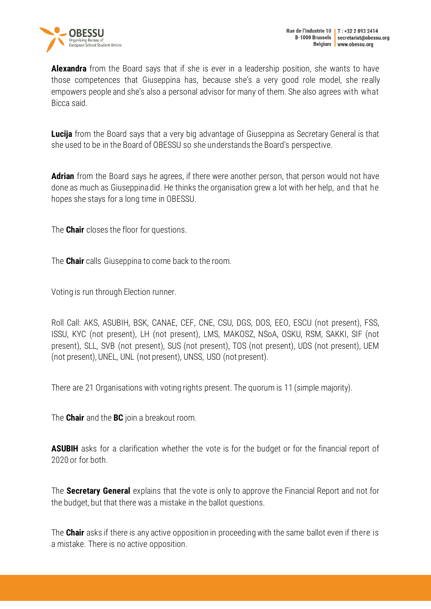

**Alexandra** from the Board says that if she is ever in a leadership position, she wants to have those competences that Giuseppina has, because she's a very good role model, she really empowers people and she's also a personal advisor for many of them. She also agrees with what Bicca said.

**Lucija** from the Board says that a very big advantage of Giuseppina as Secretary General is that she used to be in the Board of OBESSU so she understands the Board's perspective.

**Adrian** from the Board says he agrees, if there were another person, that person would not have done as much as Giuseppina did. He thinks the organisation grew a lot with her help, and that he hopes she stays for a long time in OBESSU.

The **Chair** closes the floor for questions.

The **Chair** calls Giuseppina to come back to the room.

Voting is run through Election runner.

Roll Call: AKS, ASUBIH, BSK, CANAE, CEF, CNE, CSU, DGS, DOS, EEO, ESCU (not present), FSS, ISSU, KYC (not present), LH (not present), LMS, MAKOSZ, NSoA, OSKU, RSM, SAKKI, SIF (not present), SLL, SVB (not present), SUS (not present), TOS (not present), UDS (not present), UEM (not present), UNEL, UNL (not present), UNSS, USO (not present).

There are 21 Organisations with voting rights present. The quorum is 11 (simple majority).

The **Chair** and the **BC** join a breakout room.

**ASUBIH** asks for a clarification whether the vote is for the budget or for the financial report of 2020 or for both.

The **Secretary General** explains that the vote is only to approve the Financial Report and not for the budget, but that there was a mistake in the ballot questions.

The **Chair** asks if there is any active opposition in proceeding with the same ballot even if there is a mistake. There is no active opposition.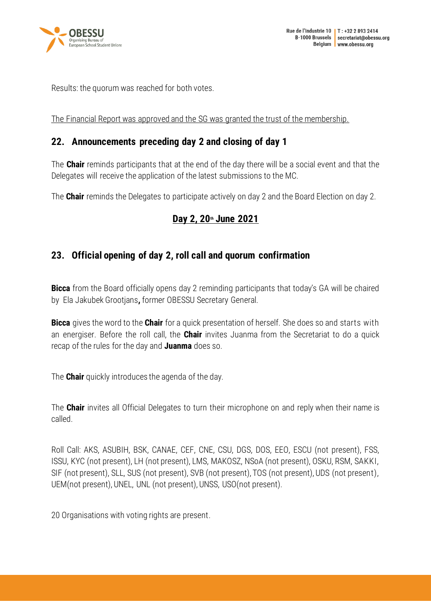

Results: the quorum was reached for both votes.

<span id="page-21-0"></span>The Financial Report was approved and the SG was granted the trust of the membership.

### **22. Announcements preceding day 2 and closing of day 1**

The **Chair** reminds participants that at the end of the day there will be a social event and that the Delegates will receive the application of the latest submissions to the MC.

The **Chair** reminds the Delegates to participate actively on day 2 and the Board Election on day 2.

# **Day 2, 20th June 2021**

## <span id="page-21-1"></span>**23. Official opening of day 2, roll call and quorum confirmation**

**Bicca** from the Board officially opens day 2 reminding participants that today's GA will be chaired by Ela Jakubek Grootjans**,** former OBESSU Secretary General.

**Bicca** gives the word to the **Chair** for a quick presentation of herself. She does so and starts with an energiser. Before the roll call, the **Chair** invites Juanma from the Secretariat to do a quick recap of the rules for the day and **Juanma** does so.

The **Chair** quickly introduces the agenda of the day.

The **Chair** invites all Official Delegates to turn their microphone on and reply when their name is called.

Roll Call: AKS, ASUBIH, BSK, CANAE, CEF, CNE, CSU, DGS, DOS, EEO, ESCU (not present), FSS, ISSU, KYC (not present), LH (not present), LMS, MAKOSZ, NSoA (not present), OSKU, RSM, SAKKI, SIF (not present), SLL, SUS (not present), SVB (not present), TOS (not present), UDS (not present), UEM(not present), UNEL, UNL (not present), UNSS, USO(not present).

20 Organisations with voting rights are present.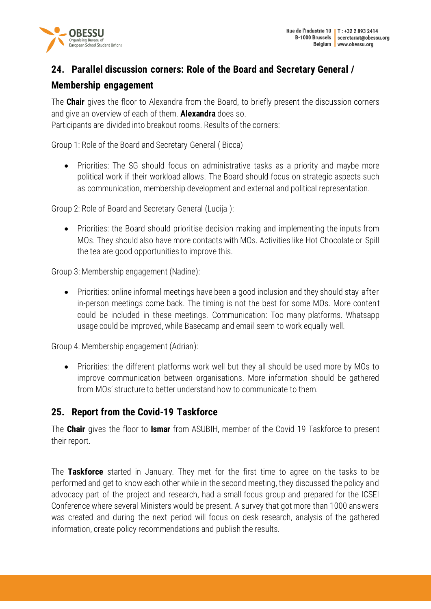

# <span id="page-22-0"></span>**24. Parallel discussion corners: Role of the Board and Secretary General / Membership engagement**

The **Chair** gives the floor to Alexandra from the Board, to briefly present the discussion corners and give an overview of each of them. **Alexandra** does so.

Participants are divided into breakout rooms. Results of the corners:

Group 1: Role of the Board and Secretary General ( Bicca)

• Priorities: The SG should focus on administrative tasks as a priority and maybe more political work if their workload allows. The Board should focus on strategic aspects such as communication, membership development and external and political representation.

Group 2: Role of Board and Secretary General (Lucija ):

• Priorities: the Board should prioritise decision making and implementing the inputs from MOs. They should also have more contacts with MOs. Activities like Hot Chocolate or Spill the tea are good opportunities to improve this.

Group 3: Membership engagement (Nadine):

• Priorities: online informal meetings have been a good inclusion and they should stay after in-person meetings come back. The timing is not the best for some MOs. More content could be included in these meetings. Communication: Too many platforms. Whatsapp usage could be improved, while Basecamp and email seem to work equally well.

Group 4: Membership engagement (Adrian):

• Priorities: the different platforms work well but they all should be used more by MOs to improve communication between organisations. More information should be gathered from MOs' structure to better understand how to communicate to them.

# <span id="page-22-1"></span>**25. Report from the Covid-19 Taskforce**

The **Chair** gives the floor to **Ismar** from ASUBIH, member of the Covid 19 Taskforce to present their report.

The **Taskforce** started in January. They met for the first time to agree on the tasks to be performed and get to know each other while in the second meeting, they discussed the policy and advocacy part of the project and research, had a small focus group and prepared for the ICSEI Conference where several Ministers would be present. A survey that got more than 1000 answers was created and during the next period will focus on desk research, analysis of the gathered information, create policy recommendations and publish the results.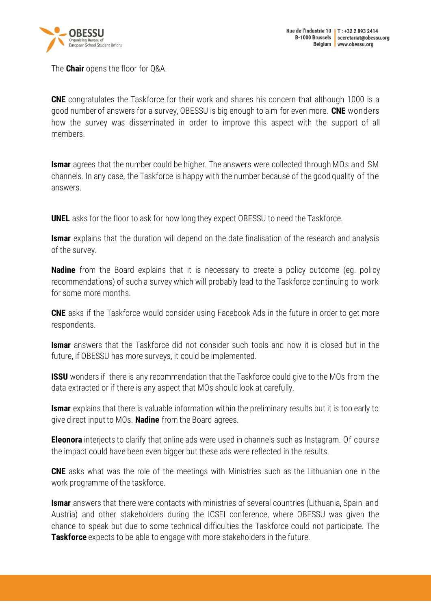

The **Chair** opens the floor for Q&A.

**CNE** congratulates the Taskforce for their work and shares his concern that although 1000 is a good number of answers for a survey, OBESSU is big enough to aim for even more. **CNE** wonders how the survey was disseminated in order to improve this aspect with the support of all members.

**Ismar** agrees that the number could be higher. The answers were collected through MOs and SM channels. In any case, the Taskforce is happy with the number because of the good quality of the answers.

**UNEL** asks for the floor to ask for how long they expect OBESSU to need the Taskforce.

**Ismar** explains that the duration will depend on the date finalisation of the research and analysis of the survey.

**Nadine** from the Board explains that it is necessary to create a policy outcome (eg. policy recommendations) of such a survey which will probably lead to the Taskforce continuing to work for some more months.

**CNE** asks if the Taskforce would consider using Facebook Ads in the future in order to get more respondents.

**Ismar** answers that the Taskforce did not consider such tools and now it is closed but in the future, if OBESSU has more surveys, it could be implemented.

**ISSU** wonders if there is any recommendation that the Taskforce could give to the MOs from the data extracted or if there is any aspect that MOs should look at carefully.

**Ismar** explains that there is valuable information within the preliminary results but it is too early to give direct input to MOs. **Nadine** from the Board agrees.

**Eleonora** interjects to clarify that online ads were used in channels such as Instagram. Of course the impact could have been even bigger but these ads were reflected in the results.

**CNE** asks what was the role of the meetings with Ministries such as the Lithuanian one in the work programme of the taskforce.

**Ismar** answers that there were contacts with ministries of several countries (Lithuania, Spain and Austria) and other stakeholders during the ICSEI conference, where OBESSU was given the chance to speak but due to some technical difficulties the Taskforce could not participate. The **Taskforce** expects to be able to engage with more stakeholders in the future.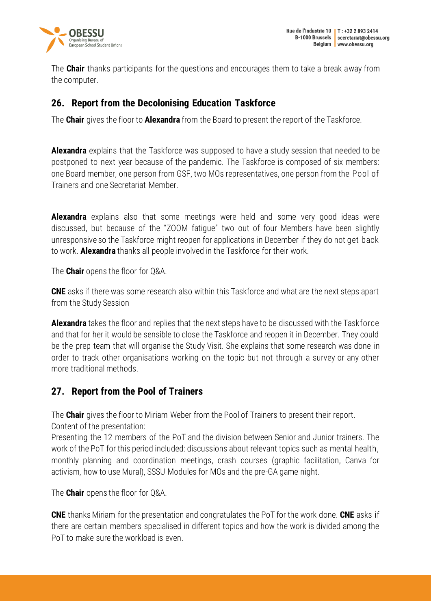

The **Chair** thanks participants for the questions and encourages them to take a break away from the computer.

## <span id="page-24-0"></span>**26. Report from the Decolonising Education Taskforce**

The **Chair** gives the floor to **Alexandra** from the Board to present the report of the Taskforce.

**Alexandra** explains that the Taskforce was supposed to have a study session that needed to be postponed to next year because of the pandemic. The Taskforce is composed of six members: one Board member, one person from GSF, two MOs representatives, one person from the Pool of Trainers and one Secretariat Member.

**Alexandra** explains also that some meetings were held and some very good ideas were discussed, but because of the "ZOOM fatigue" two out of four Members have been slightly unresponsive so the Taskforce might reopen for applications in December if they do not get back to work. **Alexandra** thanks all people involved in the Taskforce for their work.

The **Chair** opens the floor for Q&A.

**CNE** asks if there was some research also within this Taskforce and what are the next steps apart from the Study Session

**Alexandra** takes the floor and replies that the next steps have to be discussed with the Taskforce and that for her it would be sensible to close the Taskforce and reopen it in December. They could be the prep team that will organise the Study Visit. She explains that some research was done in order to track other organisations working on the topic but not through a survey or any other more traditional methods.

# <span id="page-24-1"></span>**27. Report from the Pool of Trainers**

The **Chair** gives the floor to Miriam Weber from the Pool of Trainers to present their report. Content of the presentation:

Presenting the 12 members of the PoT and the division between Senior and Junior trainers. The work of the PoT for this period included: discussions about relevant topics such as mental health, monthly planning and coordination meetings, crash courses (graphic facilitation, Canva for activism, how to use Mural), SSSU Modules for MOs and the pre-GA game night.

The **Chair** opens the floor for Q&A.

**CNE** thanks Miriam for the presentation and congratulates the PoT for the work done. **CNE** asks if there are certain members specialised in different topics and how the work is divided among the PoT to make sure the workload is even.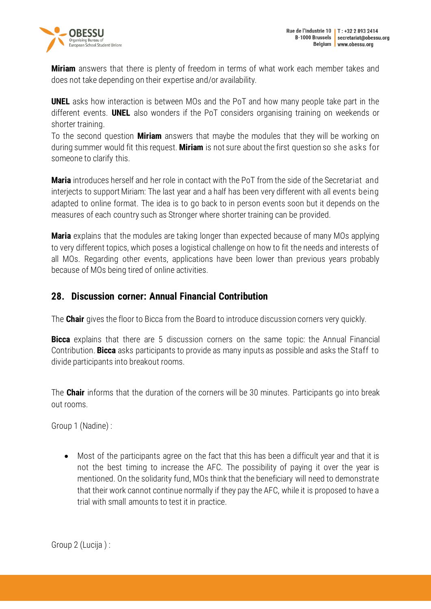



**Miriam** answers that there is plenty of freedom in terms of what work each member takes and does not take depending on their expertise and/or availability.

**UNEL** asks how interaction is between MOs and the PoT and how many people take part in the different events. **UNEL** also wonders if the PoT considers organising training on weekends or shorter training.

To the second question **Miriam** answers that maybe the modules that they will be working on during summer would fit this request. **Miriam** is not sure about the first question so she asks for someone to clarify this.

**Maria** introduces herself and her role in contact with the PoT from the side of the Secretariat and interjects to support Miriam: The last year and a half has been very different with all events being adapted to online format. The idea is to go back to in person events soon but it depends on the measures of each country such as Stronger where shorter training can be provided.

**Maria** explains that the modules are taking longer than expected because of many MOs applying to very different topics, which poses a logistical challenge on how to fit the needs and interests of all MOs. Regarding other events, applications have been lower than previous years probably because of MOs being tired of online activities.

### <span id="page-25-0"></span>**28. Discussion corner: Annual Financial Contribution**

The **Chair** gives the floor to Bicca from the Board to introduce discussion corners very quickly.

**Bicca** explains that there are 5 discussion corners on the same topic: the Annual Financial Contribution. **Bicca** asks participants to provide as many inputs as possible and asks the Staff to divide participants into breakout rooms.

The **Chair** informs that the duration of the corners will be 30 minutes. Participants go into break out rooms.

Group 1 (Nadine) :

• Most of the participants agree on the fact that this has been a difficult year and that it is not the best timing to increase the AFC. The possibility of paying it over the year is mentioned. On the solidarity fund, MOs think that the beneficiary will need to demonstrate that their work cannot continue normally if they pay the AFC, while it is proposed to have a trial with small amounts to test it in practice.

Group 2 (Lucija ) :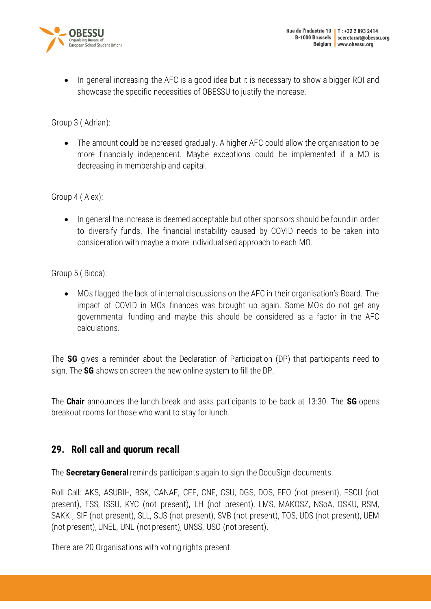

• In general increasing the AFC is a good idea but it is necessary to show a bigger ROI and showcase the specific necessities of OBESSU to justify the increase.

Group 3 ( Adrian):

• The amount could be increased gradually. A higher AFC could allow the organisation to be more financially independent. Maybe exceptions could be implemented if a MO is decreasing in membership and capital.

Group 4 ( Alex):

• In general the increase is deemed acceptable but other sponsors should be found in order to diversify funds. The financial instability caused by COVID needs to be taken into consideration with maybe a more individualised approach to each MO.

Group 5 ( Bicca):

• MOs flagged the lack of internal discussions on the AFC in their organisation's Board. The impact of COVID in MOs finances was brought up again. Some MOs do not get any governmental funding and maybe this should be considered as a factor in the AFC calculations.

The **SG** gives a reminder about the Declaration of Participation (DP) that participants need to sign. The **SG** shows on screen the new online system to fill the DP.

The **Chair** announces the lunch break and asks participants to be back at 13:30. The **SG** opens breakout rooms for those who want to stay for lunch.

### <span id="page-26-0"></span>**29. Roll call and quorum recall**

The **Secretary General** reminds participants again to sign the DocuSign documents.

Roll Call: AKS, ASUBIH, BSK, CANAE, CEF, CNE, CSU, DGS, DOS, EEO (not present), ESCU (not present), FSS, ISSU, KYC (not present), LH (not present), LMS, MAKOSZ, NSoA, OSKU, RSM, SAKKI, SIF (not present), SLL, SUS (not present), SVB (not present), TOS, UDS (not present), UEM (not present), UNEL, UNL (not present), UNSS, USO (not present).

There are 20 Organisations with voting rights present.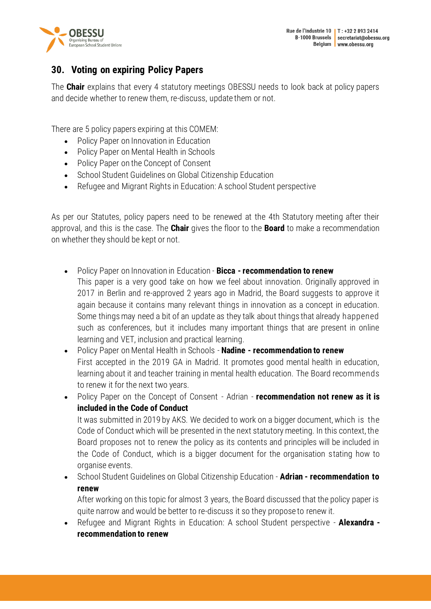



# <span id="page-27-0"></span>**30. Voting on expiring Policy Papers**

The **Chair** explains that every 4 statutory meetings OBESSU needs to look back at policy papers and decide whether to renew them, re-discuss, update them or not.

There are 5 policy papers expiring at this COMEM:

- Policy Paper on Innovation in Education
- Policy Paper on Mental Health in Schools
- Policy Paper on the Concept of Consent
- School Student Guidelines on Global Citizenship Education
- Refugee and Migrant Rights in Education: A school Student perspective

As per our Statutes, policy papers need to be renewed at the 4th Statutory meeting after their approval, and this is the case. The **Chair** gives the floor to the **Board** to make a recommendation on whether they should be kept or not.

- Policy Paper on Innovation in Education **Bicca - recommendation to renew** This paper is a very good take on how we feel about innovation. Originally approved in 2017 in Berlin and re-approved 2 years ago in Madrid, the Board suggests to approve it again because it contains many relevant things in innovation as a concept in education. Some things may need a bit of an update as they talk about things that already happened such as conferences, but it includes many important things that are present in online learning and VET, inclusion and practical learning.
- Policy Paper on Mental Health in Schools **Nadine - recommendation to renew** First accepted in the 2019 GA in Madrid. It promotes good mental health in education, learning about it and teacher training in mental health education. The Board recommends to renew it for the next two years.
- Policy Paper on the Concept of Consent Adrian **recommendation not renew as it is included in the Code of Conduct**

It was submitted in 2019 by AKS. We decided to work on a bigger document, which is the Code of Conduct which will be presented in the next statutory meeting. In this context, the Board proposes not to renew the policy as its contents and principles will be included in the Code of Conduct, which is a bigger document for the organisation stating how to organise events.

• School Student Guidelines on Global Citizenship Education - **Adrian - recommendation to renew**

After working on this topic for almost 3 years, the Board discussed that the policy paper is quite narrow and would be better to re-discuss it so they propose to renew it.

• Refugee and Migrant Rights in Education: A school Student perspective - **Alexandra recommendation to renew**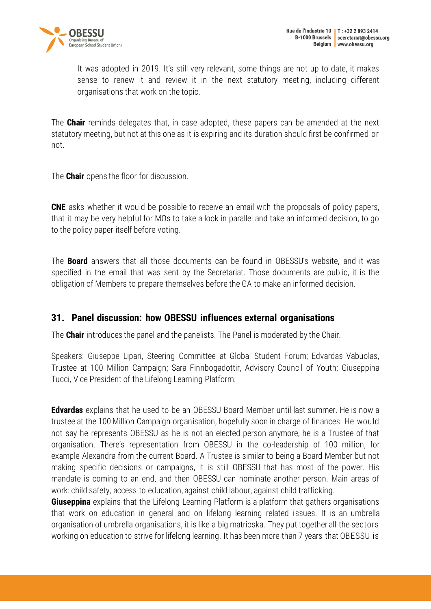

It was adopted in 2019. It's still very relevant, some things are not up to date, it makes sense to renew it and review it in the next statutory meeting, including different organisations that work on the topic.

The **Chair** reminds delegates that, in case adopted, these papers can be amended at the next statutory meeting, but not at this one as it is expiring and its duration should first be confirmed or not.

The **Chair** opens the floor for discussion.

**CNE** asks whether it would be possible to receive an email with the proposals of policy papers, that it may be very helpful for MOs to take a look in parallel and take an informed decision, to go to the policy paper itself before voting.

The **Board** answers that all those documents can be found in OBESSU's website, and it was specified in the email that was sent by the Secretariat. Those documents are public, it is the obligation of Members to prepare themselves before the GA to make an informed decision.

### <span id="page-28-0"></span>**31. Panel discussion: how OBESSU influences external organisations**

The **Chair** introduces the panel and the panelists. The Panel is moderated by the Chair.

Speakers: Giuseppe Lipari, Steering Committee at Global Student Forum; Edvardas Vabuolas, Trustee at 100 Million Campaign; Sara Finnbogadottir, Advisory Council of Youth; Giuseppina Tucci, Vice President of the Lifelong Learning Platform.

**Edvardas** explains that he used to be an OBESSU Board Member until last summer. He is now a trustee at the 100 Million Campaign organisation, hopefully soon in charge of finances. He would not say he represents OBESSU as he is not an elected person anymore, he is a Trustee of that organisation. There's representation from OBESSU in the co-leadership of 100 million, for example Alexandra from the current Board. A Trustee is similar to being a Board Member but not making specific decisions or campaigns, it is still OBESSU that has most of the power. His mandate is coming to an end, and then OBESSU can nominate another person. Main areas of work: child safety, access to education, against child labour, against child trafficking.

**Giuseppina** explains that the Lifelong Learning Platform is a platform that gathers organisations that work on education in general and on lifelong learning related issues. It is an umbrella organisation of umbrella organisations, it is like a big matrioska. They put together all the sectors working on education to strive for lifelong learning. It has been more than 7 years that OBESSU is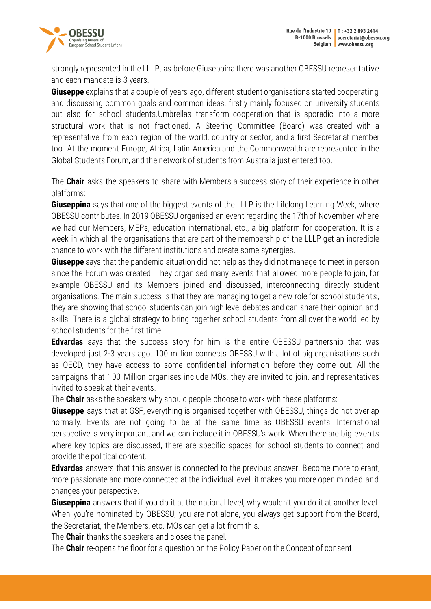

strongly represented in the LLLP, as before Giuseppina there was another OBESSU representative and each mandate is 3 years.

**Giuseppe** explains that a couple of years ago, different student organisations started cooperating and discussing common goals and common ideas, firstly mainly focused on university students but also for school students.Umbrellas transform cooperation that is sporadic into a more structural work that is not fractioned. A Steering Committee (Board) was created with a representative from each region of the world, country or sector, and a first Secretariat member too. At the moment Europe, Africa, Latin America and the Commonwealth are represented in the Global Students Forum, and the network of students from Australia just entered too.

The **Chair** asks the speakers to share with Members a success story of their experience in other platforms:

**Giuseppina** says that one of the biggest events of the LLLP is the Lifelong Learning Week, where OBESSU contributes. In 2019 OBESSU organised an event regarding the 17th of November where we had our Members, MEPs, education international, etc., a big platform for cooperation. It is a week in which all the organisations that are part of the membership of the LLLP get an incredible chance to work with the different institutions and create some synergies.

**Giuseppe** says that the pandemic situation did not help as they did not manage to meet in person since the Forum was created. They organised many events that allowed more people to join, for example OBESSU and its Members joined and discussed, interconnecting directly student organisations. The main success is that they are managing to get a new role for school students, they are showing that school students can join high level debates and can share their opinion and skills. There is a global strategy to bring together school students from all over the world led by school students for the first time.

**Edvardas** says that the success story for him is the entire OBESSU partnership that was developed just 2-3 years ago. 100 million connects OBESSU with a lot of big organisations such as OECD, they have access to some confidential information before they come out. All the campaigns that 100 Million organises include MOs, they are invited to join, and representatives invited to speak at their events.

The **Chair** asks the speakers why should people choose to work with these platforms:

**Giuseppe** says that at GSF, everything is organised together with OBESSU, things do not overlap normally. Events are not going to be at the same time as OBESSU events. International perspective is very important, and we can include it in OBESSU's work. When there are big events where key topics are discussed, there are specific spaces for school students to connect and provide the political content.

**Edvardas** answers that this answer is connected to the previous answer. Become more tolerant, more passionate and more connected at the individual level, it makes you more open minded and changes your perspective.

**Giuseppina** answers that if you do it at the national level, why wouldn't you do it at another level. When you're nominated by OBESSU, you are not alone, you always get support from the Board, the Secretariat, the Members, etc. MOs can get a lot from this.

The **Chair** thanks the speakers and closes the panel.

The **Chair** re-opens the floor for a question on the Policy Paper on the Concept of consent.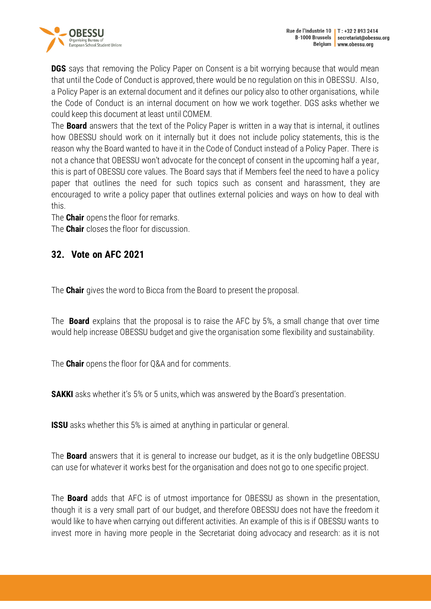

**DGS** says that removing the Policy Paper on Consent is a bit worrying because that would mean that until the Code of Conduct is approved, there would be no regulation on this in OBESSU. Also, a Policy Paper is an external document and it defines our policy also to other organisations, while the Code of Conduct is an internal document on how we work together. DGS asks whether we could keep this document at least until COMEM.

The **Board** answers that the text of the Policy Paper is written in a way that is internal, it outlines how OBESSU should work on it internally but it does not include policy statements, this is the reason why the Board wanted to have it in the Code of Conduct instead of a Policy Paper. There is not a chance that OBESSU won't advocate for the concept of consent in the upcoming half a year, this is part of OBESSU core values. The Board says that if Members feel the need to have a policy paper that outlines the need for such topics such as consent and harassment, they are encouraged to write a policy paper that outlines external policies and ways on how to deal with this.

The **Chair** opens the floor for remarks.

The **Chair** closes the floor for discussion.

## <span id="page-30-0"></span>**32. Vote on AFC 2021**

The **Chair** gives the word to Bicca from the Board to present the proposal.

The **Board** explains that the proposal is to raise the AFC by 5%, a small change that over time would help increase OBESSU budget and give the organisation some flexibility and sustainability.

The **Chair** opens the floor for Q&A and for comments.

**SAKKI** asks whether it's 5% or 5 units, which was answered by the Board's presentation.

**ISSU** asks whether this 5% is aimed at anything in particular or general.

The **Board** answers that it is general to increase our budget, as it is the only budgetline OBESSU can use for whatever it works best for the organisation and does not go to one specific project.

The **Board** adds that AFC is of utmost importance for OBESSU as shown in the presentation, though it is a very small part of our budget, and therefore OBESSU does not have the freedom it would like to have when carrying out different activities. An example of this is if OBESSU wants to invest more in having more people in the Secretariat doing advocacy and research: as it is not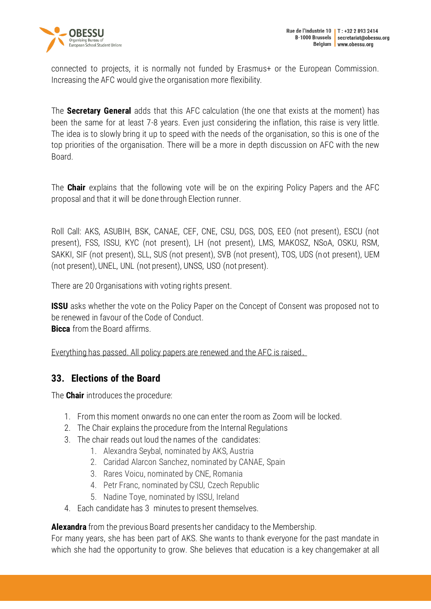

connected to projects, it is normally not funded by Erasmus+ or the European Commission. Increasing the AFC would give the organisation more flexibility.

The **Secretary General** adds that this AFC calculation (the one that exists at the moment) has been the same for at least 7-8 years. Even just considering the inflation, this raise is very little. The idea is to slowly bring it up to speed with the needs of the organisation, so this is one of the top priorities of the organisation. There will be a more in depth discussion on AFC with the new Board.

The **Chair** explains that the following vote will be on the expiring Policy Papers and the AFC proposal and that it will be done through Election runner.

Roll Call: AKS, ASUBIH, BSK, CANAE, CEF, CNE, CSU, DGS, DOS, EEO (not present), ESCU (not present), FSS, ISSU, KYC (not present), LH (not present), LMS, MAKOSZ, NSoA, OSKU, RSM, SAKKI, SIF (not present), SLL, SUS (not present), SVB (not present), TOS, UDS (not present), UEM (not present), UNEL, UNL (not present), UNSS, USO (not present).

There are 20 Organisations with voting rights present.

**ISSU** asks whether the vote on the Policy Paper on the Concept of Consent was proposed not to be renewed in favour of the Code of Conduct. **Bicca** from the Board affirms.

Everything has passed. All policy papers are renewed and the AFC is raised.

### <span id="page-31-0"></span>**33. Elections of the Board**

The **Chair** introduces the procedure:

- 1. From this moment onwards no one can enter the room as Zoom will be locked.
- 2. The Chair explains the procedure from the Internal Regulations
- 3. The chair reads out loud the names of the candidates:
	- 1. Alexandra Seybal, nominated by AKS, Austria
	- 2. Caridad Alarcon Sanchez, nominated by CANAE, Spain
	- 3. Rares Voicu, nominated by CNE, Romania
	- 4. Petr Franc, nominated by CSU, Czech Republic
	- 5. Nadine Toye, nominated by ISSU, Ireland
- 4. Each candidate has 3 minutes to present themselves.

**Alexandra** from the previous Board presents her candidacy to the Membership.

For many years, she has been part of AKS. She wants to thank everyone for the past mandate in which she had the opportunity to grow. She believes that education is a key changemaker at all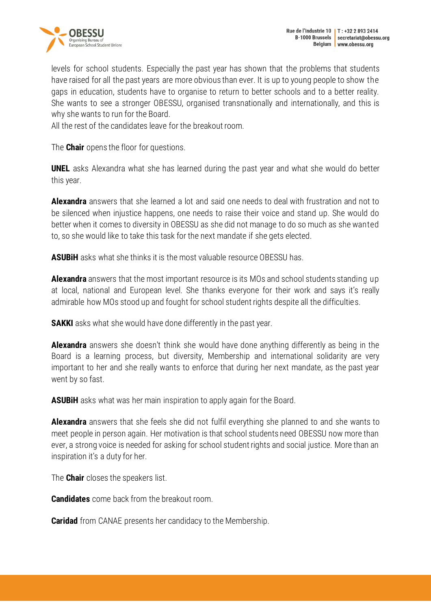



levels for school students. Especially the past year has shown that the problems that students have raised for all the past years are more obvious than ever. It is up to young people to show the gaps in education, students have to organise to return to better schools and to a better reality. She wants to see a stronger OBESSU, organised transnationally and internationally, and this is why she wants to run for the Board.

All the rest of the candidates leave for the breakout room.

The **Chair** opens the floor for questions.

**UNEL** asks Alexandra what she has learned during the past year and what she would do better this year.

**Alexandra** answers that she learned a lot and said one needs to deal with frustration and not to be silenced when injustice happens, one needs to raise their voice and stand up. She would do better when it comes to diversity in OBESSU as she did not manage to do so much as she wanted to, so she would like to take this task for the next mandate if she gets elected.

**ASUBiH** asks what she thinks it is the most valuable resource OBESSU has.

**Alexandra** answers that the most important resource is its MOs and school students standing up at local, national and European level. She thanks everyone for their work and says it's really admirable how MOs stood up and fought for school student rights despite all the difficulties.

**SAKKI** asks what she would have done differently in the past year.

**Alexandra** answers she doesn't think she would have done anything differently as being in the Board is a learning process, but diversity, Membership and international solidarity are very important to her and she really wants to enforce that during her next mandate, as the past year went by so fast.

**ASUBIH** asks what was her main inspiration to apply again for the Board.

**Alexandra** answers that she feels she did not fulfil everything she planned to and she wants to meet people in person again. Her motivation is that school students need OBESSU now more than ever, a strong voice is needed for asking for school student rights and social justice. More than an inspiration it's a duty for her.

The **Chair** closes the speakers list.

**Candidates** come back from the breakout room.

**Caridad** from CANAE presents her candidacy to the Membership.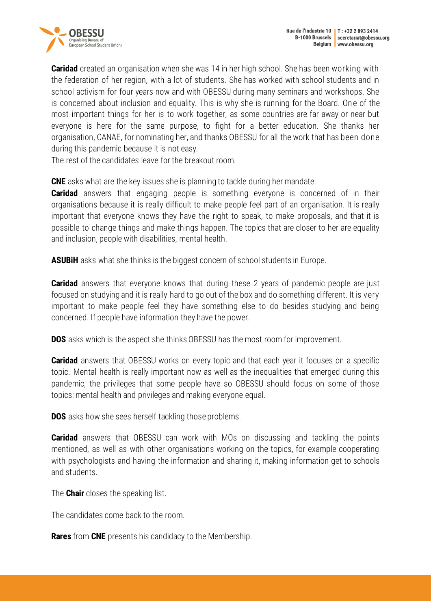

**Caridad** created an organisation when she was 14 in her high school. She has been working with the federation of her region, with a lot of students. She has worked with school students and in school activism for four years now and with OBESSU during many seminars and workshops. She is concerned about inclusion and equality. This is why she is running for the Board. One of the most important things for her is to work together, as some countries are far away or near but everyone is here for the same purpose, to fight for a better education. She thanks her organisation, CANAE, for nominating her, and thanks OBESSU for all the work that has been done during this pandemic because it is not easy.

The rest of the candidates leave for the breakout room.

**CNE** asks what are the key issues she is planning to tackle during her mandate.

**Caridad** answers that engaging people is something everyone is concerned of in their organisations because it is really difficult to make people feel part of an organisation. It is really important that everyone knows they have the right to speak, to make proposals, and that it is possible to change things and make things happen. The topics that are closer to her are equality and inclusion, people with disabilities, mental health.

**ASUBiH** asks what she thinks is the biggest concern of school students in Europe.

**Caridad** answers that everyone knows that during these 2 years of pandemic people are just focused on studying and it is really hard to go out of the box and do something different. It is very important to make people feel they have something else to do besides studying and being concerned. If people have information they have the power.

**DOS** asks which is the aspect she thinks OBESSU has the most room for improvement.

**Caridad** answers that OBESSU works on every topic and that each year it focuses on a specific topic. Mental health is really important now as well as the inequalities that emerged during this pandemic, the privileges that some people have so OBESSU should focus on some of those topics: mental health and privileges and making everyone equal.

**DOS** asks how she sees herself tackling those problems.

**Caridad** answers that OBESSU can work with MOs on discussing and tackling the points mentioned, as well as with other organisations working on the topics, for example cooperating with psychologists and having the information and sharing it, making information get to schools and students.

The **Chair** closes the speaking list.

The candidates come back to the room.

**Rares** from **CNE** presents his candidacy to the Membership.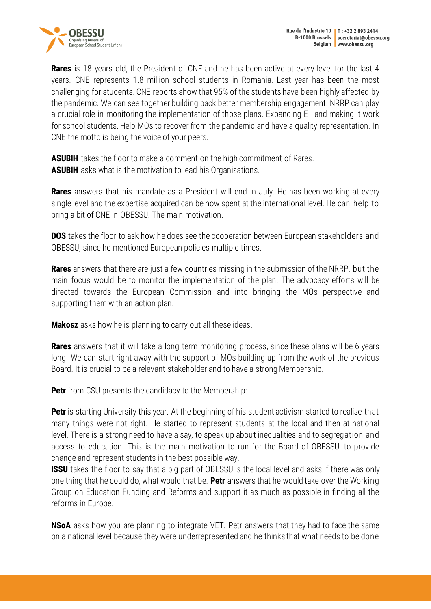

**Rares** is 18 years old, the President of CNE and he has been active at every level for the last 4 years. CNE represents 1.8 million school students in Romania. Last year has been the most challenging for students. CNE reports show that 95% of the students have been highly affected by the pandemic. We can see together building back better membership engagement. NRRP can play a crucial role in monitoring the implementation of those plans. Expanding E+ and making it work for school students. Help MOs to recover from the pandemic and have a quality representation. In CNE the motto is being the voice of your peers.

**ASUBIH** takes the floor to make a comment on the high commitment of Rares. **ASUBIH** asks what is the motivation to lead his Organisations.

**Rares** answers that his mandate as a President will end in July. He has been working at every single level and the expertise acquired can be now spent at the international level. He can help to bring a bit of CNE in OBESSU. The main motivation.

**DOS** takes the floor to ask how he does see the cooperation between European stakeholders and OBESSU, since he mentioned European policies multiple times.

**Rares** answers that there are just a few countries missing in the submission of the NRRP, but the main focus would be to monitor the implementation of the plan. The advocacy efforts will be directed towards the European Commission and into bringing the MOs perspective and supporting them with an action plan.

**Makosz** asks how he is planning to carry out all these ideas.

**Rares** answers that it will take a long term monitoring process, since these plans will be 6 years long. We can start right away with the support of MOs building up from the work of the previous Board. It is crucial to be a relevant stakeholder and to have a strong Membership.

**Petr** from CSU presents the candidacy to the Membership:

**Petr** is starting University this year. At the beginning of his student activism started to realise that many things were not right. He started to represent students at the local and then at national level. There is a strong need to have a say, to speak up about inequalities and to segregation and access to education. This is the main motivation to run for the Board of OBESSU: to provide change and represent students in the best possible way.

**ISSU** takes the floor to say that a big part of OBESSU is the local level and asks if there was only one thing that he could do, what would that be. **Petr** answers that he would take over the Working Group on Education Funding and Reforms and support it as much as possible in finding all the reforms in Europe.

**NSoA** asks how you are planning to integrate VET. Petr answers that they had to face the same on a national level because they were underrepresented and he thinks that what needs to be done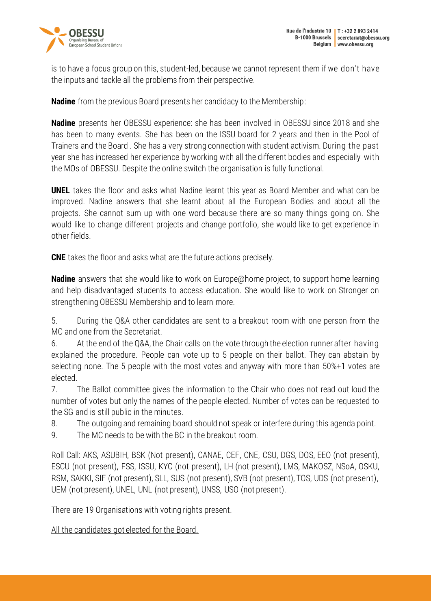

is to have a focus group on this, student-led, because we cannot represent them if we don't have the inputs and tackle all the problems from their perspective.

**Nadine** from the previous Board presents her candidacy to the Membership:

**Nadine** presents her OBESSU experience: she has been involved in OBESSU since 2018 and she has been to many events. She has been on the ISSU board for 2 years and then in the Pool of Trainers and the Board . She has a very strong connection with student activism. During the past year she has increased her experience by working with all the different bodies and especially with the MOs of OBESSU. Despite the online switch the organisation is fully functional.

**UNEL** takes the floor and asks what Nadine learnt this year as Board Member and what can be improved. Nadine answers that she learnt about all the European Bodies and about all the projects. She cannot sum up with one word because there are so many things going on. She would like to change different projects and change portfolio, she would like to get experience in other fields.

**CNE** takes the floor and asks what are the future actions precisely.

**Nadine** answers that she would like to work on Europe@home project, to support home learning and help disadvantaged students to access education. She would like to work on Stronger on strengthening OBESSU Membership and to learn more.

5. During the Q&A other candidates are sent to a breakout room with one person from the MC and one from the Secretariat.

6. At the end of the Q&A, the Chair calls on the vote through the election runner after having explained the procedure. People can vote up to 5 people on their ballot. They can abstain by selecting none. The 5 people with the most votes and anyway with more than 50%+1 votes are elected.

7. The Ballot committee gives the information to the Chair who does not read out loud the number of votes but only the names of the people elected. Number of votes can be requested to the SG and is still public in the minutes.

- 8. The outgoing and remaining board should not speak or interfere during this agenda point.
- 9. The MC needs to be with the BC in the breakout room.

Roll Call: AKS, ASUBIH, BSK (Not present), CANAE, CEF, CNE, CSU, DGS, DOS, EEO (not present), ESCU (not present), FSS, ISSU, KYC (not present), LH (not present), LMS, MAKOSZ, NSoA, OSKU, RSM, SAKKI, SIF (not present), SLL, SUS (not present), SVB (not present), TOS, UDS (not present), UEM (not present), UNEL, UNL (not present), UNSS, USO (not present).

There are 19 Organisations with voting rights present.

All the candidates got elected for the Board.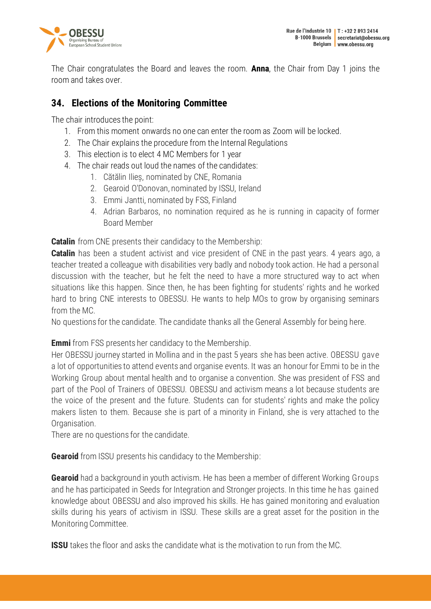

The Chair congratulates the Board and leaves the room. **Anna**, the Chair from Day 1 joins the room and takes over.

## <span id="page-36-0"></span>**34. Elections of the Monitoring Committee**

The chair introduces the point:

- 1. From this moment onwards no one can enter the room as Zoom will be locked.
- 2. The Chair explains the procedure from the Internal Regulations
- 3. This election is to elect 4 MC Members for 1 year
- 4. The chair reads out loud the names of the candidates:
	- 1. Cătălin Ilieș, nominated by CNE, Romania
	- 2. Gearoid O'Donovan, nominated by ISSU, Ireland
	- 3. Emmi Jantti, nominated by FSS, Finland
	- 4. Adrian Barbaros, no nomination required as he is running in capacity of former Board Member

**Catalin** from CNE presents their candidacy to the Membership:

**Catalin** has been a student activist and vice president of CNE in the past years. 4 years ago, a teacher treated a colleague with disabilities very badly and nobody took action. He had a personal discussion with the teacher, but he felt the need to have a more structured way to act when situations like this happen. Since then, he has been fighting for students' rights and he worked hard to bring CNE interests to OBESSU. He wants to help MOs to grow by organising seminars from the MC.

No questions for the candidate. The candidate thanks all the General Assembly for being here.

**Emmi** from FSS presents her candidacy to the Membership.

Her OBESSU journey started in Mollina and in the past 5 years she has been active. OBESSU gave a lot of opportunities to attend events and organise events. It was an honour for Emmi to be in the Working Group about mental health and to organise a convention. She was president of FSS and part of the Pool of Trainers of OBESSU. OBESSU and activism means a lot because students are the voice of the present and the future. Students can for students' rights and make the policy makers listen to them. Because she is part of a minority in Finland, she is very attached to the Organisation.

There are no questions for the candidate.

**Gearoid** from ISSU presents his candidacy to the Membership:

**Gearoid** had a background in youth activism. He has been a member of different Working Groups and he has participated in Seeds for Integration and Stronger projects. In this time he has gained knowledge about OBESSU and also improved his skills. He has gained monitoring and evaluation skills during his years of activism in ISSU. These skills are a great asset for the position in the Monitoring Committee.

**ISSU** takes the floor and asks the candidate what is the motivation to run from the MC.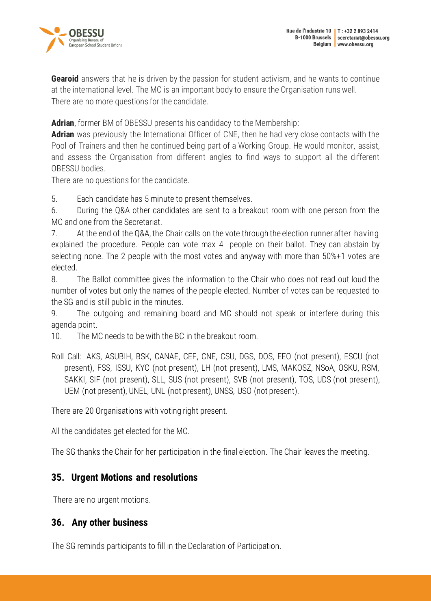

**Gearoid** answers that he is driven by the passion for student activism, and he wants to continue at the international level. The MC is an important body to ensure the Organisation runs well. There are no more questions for the candidate.

**Adrian**, former BM of OBESSU presents his candidacy to the Membership:

**Adrian** was previously the International Officer of CNE, then he had very close contacts with the Pool of Trainers and then he continued being part of a Working Group. He would monitor, assist, and assess the Organisation from different angles to find ways to support all the different OBESSU bodies.

There are no questions for the candidate.

5. Each candidate has 5 minute to present themselves.

6. During the Q&A other candidates are sent to a breakout room with one person from the MC and one from the Secretariat.

7. At the end of the Q&A, the Chair calls on the vote through the election runner after having explained the procedure. People can vote max 4 people on their ballot. They can abstain by selecting none. The 2 people with the most votes and anyway with more than 50%+1 votes are elected.

8. The Ballot committee gives the information to the Chair who does not read out loud the number of votes but only the names of the people elected. Number of votes can be requested to the SG and is still public in the minutes.

9. The outgoing and remaining board and MC should not speak or interfere during this agenda point.

10. The MC needs to be with the BC in the breakout room.

Roll Call: AKS, ASUBIH, BSK, CANAE, CEF, CNE, CSU, DGS, DOS, EEO (not present), ESCU (not present), FSS, ISSU, KYC (not present), LH (not present), LMS, MAKOSZ, NSoA, OSKU, RSM, SAKKI, SIF (not present), SLL, SUS (not present), SVB (not present), TOS, UDS (not present), UEM (not present), UNEL, UNL (not present), UNSS, USO (not present).

There are 20 Organisations with voting right present.

All the candidates get elected for the MC.

The SG thanks the Chair for her participation in the final election. The Chair leaves the meeting.

### <span id="page-37-0"></span>**35. Urgent Motions and resolutions**

There are no urgent motions.

### <span id="page-37-1"></span>**36. Any other business**

The SG reminds participants to fill in the Declaration of Participation.